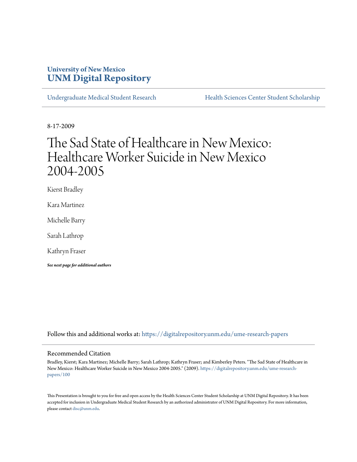# **University of New Mexico [UNM Digital Repository](https://digitalrepository.unm.edu?utm_source=digitalrepository.unm.edu%2Fume-research-papers%2F100&utm_medium=PDF&utm_campaign=PDFCoverPages)**

[Undergraduate Medical Student Research](https://digitalrepository.unm.edu/ume-research-papers?utm_source=digitalrepository.unm.edu%2Fume-research-papers%2F100&utm_medium=PDF&utm_campaign=PDFCoverPages) [Health Sciences Center Student Scholarship](https://digitalrepository.unm.edu/hsc-students?utm_source=digitalrepository.unm.edu%2Fume-research-papers%2F100&utm_medium=PDF&utm_campaign=PDFCoverPages)

8-17-2009

# The Sad State of Healthcare in New Mexico: Healthcare Worker Suicide in New Mexico 2004-2005

Kierst Bradley

Kara Martinez

Michelle Barry

Sarah Lathrop

Kathryn Fraser

*See next page for additional authors*

Follow this and additional works at: [https://digitalrepository.unm.edu/ume-research-papers](https://digitalrepository.unm.edu/ume-research-papers?utm_source=digitalrepository.unm.edu%2Fume-research-papers%2F100&utm_medium=PDF&utm_campaign=PDFCoverPages)

#### Recommended Citation

Bradley, Kierst; Kara Martinez; Michelle Barry; Sarah Lathrop; Kathryn Fraser; and Kimberley Peters. "The Sad State of Healthcare in New Mexico: Healthcare Worker Suicide in New Mexico 2004-2005." (2009). [https://digitalrepository.unm.edu/ume-research](https://digitalrepository.unm.edu/ume-research-papers/100?utm_source=digitalrepository.unm.edu%2Fume-research-papers%2F100&utm_medium=PDF&utm_campaign=PDFCoverPages)[papers/100](https://digitalrepository.unm.edu/ume-research-papers/100?utm_source=digitalrepository.unm.edu%2Fume-research-papers%2F100&utm_medium=PDF&utm_campaign=PDFCoverPages)

This Presentation is brought to you for free and open access by the Health Sciences Center Student Scholarship at UNM Digital Repository. It has been accepted for inclusion in Undergraduate Medical Student Research by an authorized administrator of UNM Digital Repository. For more information, please contact [disc@unm.edu.](mailto:disc@unm.edu)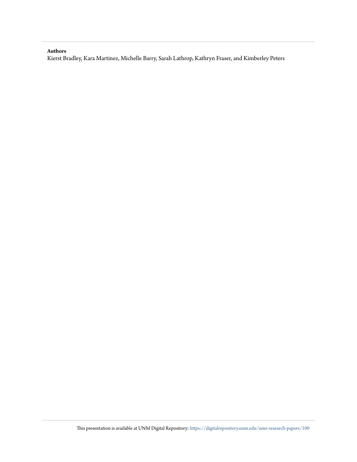#### **Authors**

Kierst Bradley, Kara Martinez, Michelle Barry, Sarah Lathrop, Kathryn Fraser, and Kimberley Peters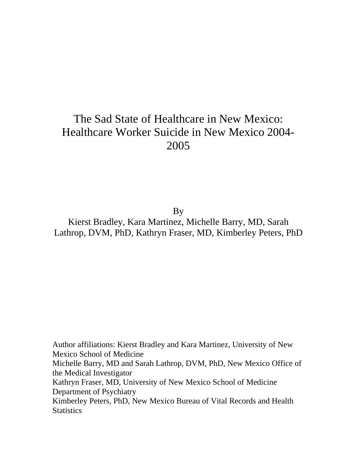# The Sad State of Healthcare in New Mexico: Healthcare Worker Suicide in New Mexico 2004- 2005

**By** 

Kierst Bradley, Kara Martinez, Michelle Barry, MD, Sarah Lathrop, DVM, PhD, Kathryn Fraser, MD, Kimberley Peters, PhD

Author affiliations: Kierst Bradley and Kara Martinez, University of New Mexico School of Medicine Michelle Barry, MD and Sarah Lathrop, DVM, PhD, New Mexico Office of the Medical Investigator Kathryn Fraser, MD, University of New Mexico School of Medicine Department of Psychiatry Kimberley Peters, PhD, New Mexico Bureau of Vital Records and Health **Statistics**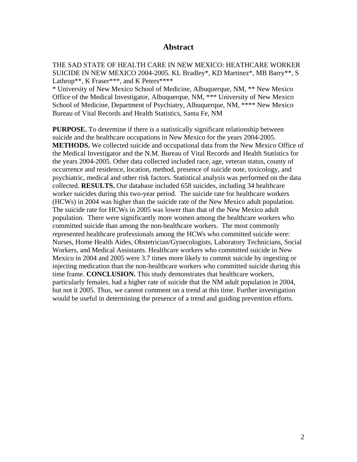## **Abstract**

THE SAD STATE OF HEALTH CARE IN NEW MEXICO: HEATHCARE WORKER SUICIDE IN NEW MEXICO 2004-2005. KL Bradley\*, KD Martinez\*, MB Barry\*\*, S Lathrop\*\*, K Fraser\*\*\*, and K Peters\*\*\*\*

\* University of New Mexico School of Medicine, Albuquerque, NM, \*\* New Mexico Office of the Medical Investigator, Albuquerque, NM, \*\*\* University of New Mexico School of Medicine, Department of Psychiatry, Albuquerque, NM, \*\*\*\* New Mexico Bureau of Vital Records and Health Statistics, Santa Fe, NM

**PURPOSE.** To determine if there is a statistically significant relationship between suicide and the healthcare occupations in New Mexico for the years 2004-2005. **METHODS.** We collected suicide and occupational data from the New Mexico Office of the Medical Investigator and the N.M. Bureau of Vital Records and Health Statistics for the years 2004-2005. Other data collected included race, age, veteran status, county of occurrence and residence, location, method, presence of suicide note, toxicology, and psychiatric, medical and other risk factors. Statistical analysis was performed on the data collected. **RESULTS.** Our database included 658 suicides, including 34 healthcare worker suicides during this two-year period. The suicide rate for healthcare workers (HCWs) in 2004 was higher than the suicide rate of the New Mexico adult population. The suicide rate for HCWs in 2005 was lower than that of the New Mexico adult population. There were significantly more women among the healthcare workers who committed suicide than among the non-healthcare workers. The most commonly represented healthcare professionals among the HCWs who committed suicide were: Nurses, Home Health Aides, Obstetrician/Gynecologists, Laboratory Technicians, Social Workers, and Medical Assistants. Healthcare workers who committed suicide in New Mexico in 2004 and 2005 were 3.7 times more likely to commit suicide by ingesting or injecting medication than the non-healthcare workers who committed suicide during this time frame. **CONCLUSION.** This study demonstrates that healthcare workers, particularly females, had a higher rate of suicide that the NM adult population in 2004, but not it 2005. Thus, we cannot comment on a trend at this time. Further investigation would be useful in determining the presence of a trend and guiding prevention efforts.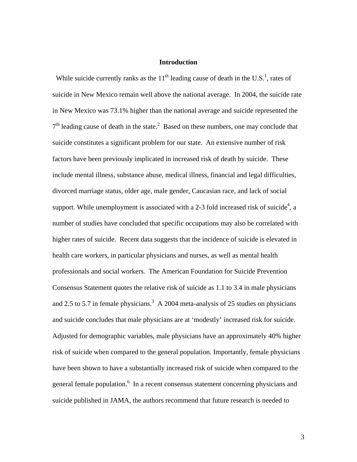## **Introduction**

While suicide currently ranks as the  $11<sup>th</sup>$  leading cause of death in the U.S.<sup>1</sup>, rates of suicide in New Mexico remain well above the national average. In 2004, the suicide rate in New Mexico was 73.1% higher than the national average and suicide represented the  $7<sup>th</sup>$  leading cause of death in the state.<sup>2</sup> Based on these numbers, one may conclude that suicide constitutes a significant problem for our state. An extensive number of risk factors have been previously implicated in increased risk of death by suicide. These include mental illness, substance abuse, medical illness, financial and legal difficulties, divorced marriage status, older age, male gender, Caucasian race, and lack of social support. While unemployment is associated with a 2-3 fold increased risk of suicide<sup>4</sup>, a number of studies have concluded that specific occupations may also be correlated with higher rates of suicide. Recent data suggests that the incidence of suicide is elevated in health care workers, in particular physicians and nurses, as well as mental health professionals and social workers. The American Foundation for Suicide Prevention Consensus Statement quotes the relative risk of suicide as 1.1 to 3.4 in male physicians and 2.5 to 5.7 in female physicians.<sup>3</sup> A 2004 meta-analysis of 25 studies on physicians and suicide concludes that male physicians are at 'modestly' increased risk for suicide. Adjusted for demographic variables, male physicians have an approximately 40% higher risk of suicide when compared to the general population. Importantly, female physicians have been shown to have a substantially increased risk of suicide when compared to the general female population.<sup>6</sup> In a recent consensus statement concerning physicians and suicide published in JAMA, the authors recommend that future research is needed to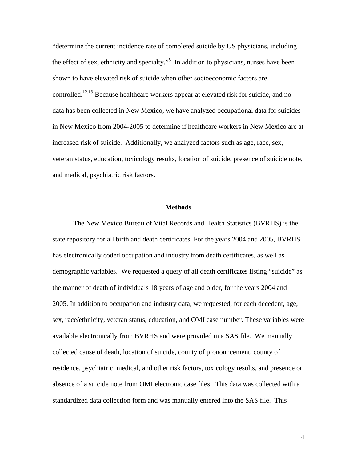"determine the current incidence rate of completed suicide by US physicians, including the effect of sex, ethnicity and specialty.<sup> $5$ </sup> In addition to physicians, nurses have been shown to have elevated risk of suicide when other socioeconomic factors are controlled.12,13 Because healthcare workers appear at elevated risk for suicide, and no data has been collected in New Mexico, we have analyzed occupational data for suicides in New Mexico from 2004-2005 to determine if healthcare workers in New Mexico are at increased risk of suicide. Additionally, we analyzed factors such as age, race, sex, veteran status, education, toxicology results, location of suicide, presence of suicide note, and medical, psychiatric risk factors.

#### **Methods**

 The New Mexico Bureau of Vital Records and Health Statistics (BVRHS) is the state repository for all birth and death certificates. For the years 2004 and 2005, BVRHS has electronically coded occupation and industry from death certificates, as well as demographic variables. We requested a query of all death certificates listing "suicide" as the manner of death of individuals 18 years of age and older, for the years 2004 and 2005. In addition to occupation and industry data, we requested, for each decedent, age, sex, race/ethnicity, veteran status, education, and OMI case number. These variables were available electronically from BVRHS and were provided in a SAS file. We manually collected cause of death, location of suicide, county of pronouncement, county of residence, psychiatric, medical, and other risk factors, toxicology results, and presence or absence of a suicide note from OMI electronic case files. This data was collected with a standardized data collection form and was manually entered into the SAS file. This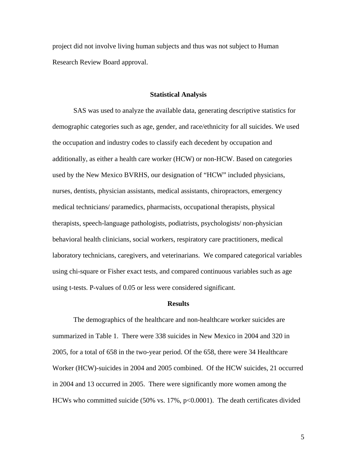project did not involve living human subjects and thus was not subject to Human Research Review Board approval.

#### **Statistical Analysis**

 SAS was used to analyze the available data, generating descriptive statistics for demographic categories such as age, gender, and race/ethnicity for all suicides. We used the occupation and industry codes to classify each decedent by occupation and additionally, as either a health care worker (HCW) or non-HCW. Based on categories used by the New Mexico BVRHS, our designation of "HCW" included physicians, nurses, dentists, physician assistants, medical assistants, chiropractors, emergency medical technicians/ paramedics, pharmacists, occupational therapists, physical therapists, speech-language pathologists, podiatrists, psychologists/ non-physician behavioral health clinicians, social workers, respiratory care practitioners, medical laboratory technicians, caregivers, and veterinarians. We compared categorical variables using chi-square or Fisher exact tests, and compared continuous variables such as age using t-tests. P-values of 0.05 or less were considered significant.

#### **Results**

 The demographics of the healthcare and non-healthcare worker suicides are summarized in Table 1. There were 338 suicides in New Mexico in 2004 and 320 in 2005, for a total of 658 in the two-year period. Of the 658, there were 34 Healthcare Worker (HCW)-suicides in 2004 and 2005 combined. Of the HCW suicides, 21 occurred in 2004 and 13 occurred in 2005. There were significantly more women among the HCWs who committed suicide (50% vs. 17%, p<0.0001). The death certificates divided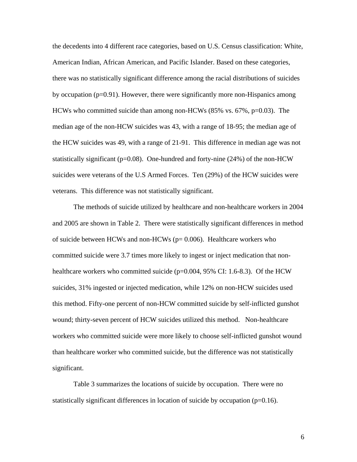the decedents into 4 different race categories, based on U.S. Census classification: White, American Indian, African American, and Pacific Islander. Based on these categories, there was no statistically significant difference among the racial distributions of suicides by occupation  $(p=0.91)$ . However, there were significantly more non-Hispanics among HCWs who committed suicide than among non-HCWs  $(85\% \text{ vs. } 67\%, \text{p=0.03})$ . The median age of the non-HCW suicides was 43, with a range of 18-95; the median age of the HCW suicides was 49, with a range of 21-91. This difference in median age was not statistically significant ( $p=0.08$ ). One-hundred and forty-nine (24%) of the non-HCW suicides were veterans of the U.S Armed Forces. Ten (29%) of the HCW suicides were veterans. This difference was not statistically significant.

 The methods of suicide utilized by healthcare and non-healthcare workers in 2004 and 2005 are shown in Table 2. There were statistically significant differences in method of suicide between HCWs and non-HCWs ( $p= 0.006$ ). Healthcare workers who committed suicide were 3.7 times more likely to ingest or inject medication that nonhealthcare workers who committed suicide (p=0.004, 95% CI: 1.6-8.3). Of the HCW suicides, 31% ingested or injected medication, while 12% on non-HCW suicides used this method. Fifty-one percent of non-HCW committed suicide by self-inflicted gunshot wound; thirty-seven percent of HCW suicides utilized this method. Non-healthcare workers who committed suicide were more likely to choose self-inflicted gunshot wound than healthcare worker who committed suicide, but the difference was not statistically significant.

 Table 3 summarizes the locations of suicide by occupation. There were no statistically significant differences in location of suicide by occupation  $(p=0.16)$ .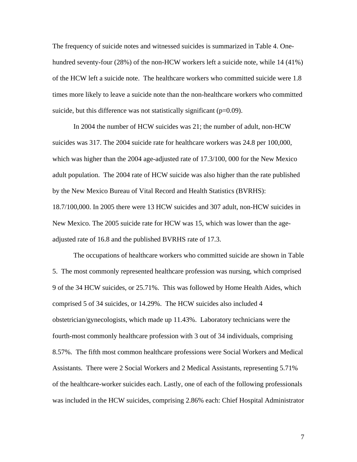The frequency of suicide notes and witnessed suicides is summarized in Table 4. Onehundred seventy-four (28%) of the non-HCW workers left a suicide note, while 14 (41%) of the HCW left a suicide note. The healthcare workers who committed suicide were 1.8 times more likely to leave a suicide note than the non-healthcare workers who committed suicide, but this difference was not statistically significant  $(p=0.09)$ .

In 2004 the number of HCW suicides was 21; the number of adult, non-HCW suicides was 317. The 2004 suicide rate for healthcare workers was 24.8 per 100,000, which was higher than the 2004 age-adjusted rate of 17.3/100, 000 for the New Mexico adult population. The 2004 rate of HCW suicide was also higher than the rate published by the New Mexico Bureau of Vital Record and Health Statistics (BVRHS): 18.7/100,000. In 2005 there were 13 HCW suicides and 307 adult, non-HCW suicides in New Mexico. The 2005 suicide rate for HCW was 15, which was lower than the ageadjusted rate of 16.8 and the published BVRHS rate of 17.3.

 The occupations of healthcare workers who committed suicide are shown in Table 5. The most commonly represented healthcare profession was nursing, which comprised 9 of the 34 HCW suicides, or 25.71%. This was followed by Home Health Aides, which comprised 5 of 34 suicides, or 14.29%. The HCW suicides also included 4 obstetrician/gynecologists, which made up 11.43%. Laboratory technicians were the fourth-most commonly healthcare profession with 3 out of 34 individuals, comprising 8.57%. The fifth most common healthcare professions were Social Workers and Medical Assistants. There were 2 Social Workers and 2 Medical Assistants, representing 5.71% of the healthcare-worker suicides each. Lastly, one of each of the following professionals was included in the HCW suicides, comprising 2.86% each: Chief Hospital Administrator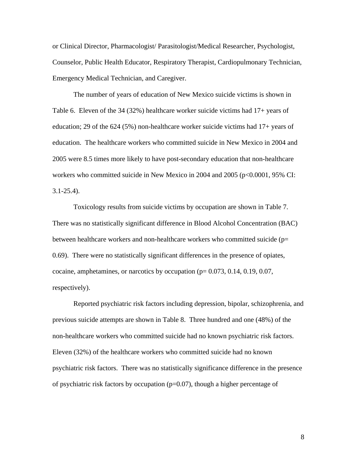or Clinical Director, Pharmacologist/ Parasitologist/Medical Researcher, Psychologist, Counselor, Public Health Educator, Respiratory Therapist, Cardiopulmonary Technician, Emergency Medical Technician, and Caregiver.

 The number of years of education of New Mexico suicide victims is shown in Table 6. Eleven of the 34 (32%) healthcare worker suicide victims had 17+ years of education; 29 of the 624 (5%) non-healthcare worker suicide victims had 17+ years of education. The healthcare workers who committed suicide in New Mexico in 2004 and 2005 were 8.5 times more likely to have post-secondary education that non-healthcare workers who committed suicide in New Mexico in 2004 and 2005 (p<0.0001, 95% CI: 3.1-25.4).

 Toxicology results from suicide victims by occupation are shown in Table 7. There was no statistically significant difference in Blood Alcohol Concentration (BAC) between healthcare workers and non-healthcare workers who committed suicide ( $p=$ 0.69). There were no statistically significant differences in the presence of opiates, cocaine, amphetamines, or narcotics by occupation  $(p= 0.073, 0.14, 0.19, 0.07,$ respectively).

 Reported psychiatric risk factors including depression, bipolar, schizophrenia, and previous suicide attempts are shown in Table 8. Three hundred and one (48%) of the non-healthcare workers who committed suicide had no known psychiatric risk factors. Eleven (32%) of the healthcare workers who committed suicide had no known psychiatric risk factors. There was no statistically significance difference in the presence of psychiatric risk factors by occupation ( $p=0.07$ ), though a higher percentage of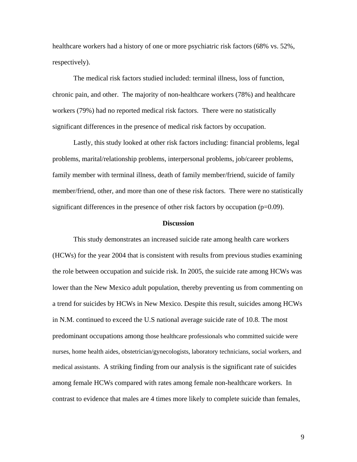healthcare workers had a history of one or more psychiatric risk factors (68% vs. 52%, respectively).

 The medical risk factors studied included: terminal illness, loss of function, chronic pain, and other. The majority of non-healthcare workers (78%) and healthcare workers (79%) had no reported medical risk factors. There were no statistically significant differences in the presence of medical risk factors by occupation.

 Lastly, this study looked at other risk factors including: financial problems, legal problems, marital/relationship problems, interpersonal problems, job/career problems, family member with terminal illness, death of family member/friend, suicide of family member/friend, other, and more than one of these risk factors. There were no statistically significant differences in the presence of other risk factors by occupation  $(p=0.09)$ .

#### **Discussion**

This study demonstrates an increased suicide rate among health care workers (HCWs) for the year 2004 that is consistent with results from previous studies examining the role between occupation and suicide risk. In 2005, the suicide rate among HCWs was lower than the New Mexico adult population, thereby preventing us from commenting on a trend for suicides by HCWs in New Mexico. Despite this result, suicides among HCWs in N.M. continued to exceed the U.S national average suicide rate of 10.8. The most predominant occupations among those healthcare professionals who committed suicide were nurses, home health aides, obstetrician/gynecologists, laboratory technicians, social workers, and medical assistants. A striking finding from our analysis is the significant rate of suicides among female HCWs compared with rates among female non-healthcare workers. In contrast to evidence that males are 4 times more likely to complete suicide than females,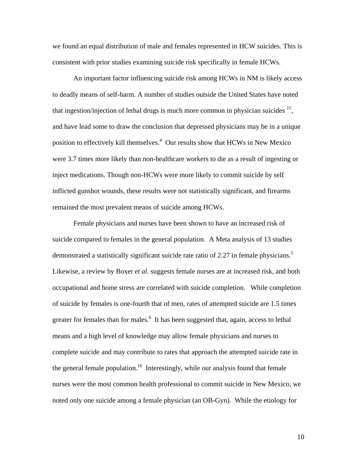we found an equal distribution of male and females represented in HCW suicides. This is consistent with prior studies examining suicide risk specifically in female HCWs.

An important factor influencing suicide risk among HCWs in NM is likely access to deadly means of self-harm. A number of studies outside the United States have noted that ingestion/injection of lethal drugs is much more common in physician suicides  $15$ , and have lead some to draw the conclusion that depressed physicians may be in a unique position to effectively kill themselves.<sup>4</sup> Our results show that HCWs in New Mexico were 3.7 times more likely than non-healthcare workers to die as a result of ingesting or inject medications. Though non-HCWs were more likely to commit suicide by self inflicted gunshot wounds, these results were not statistically significant, and firearms remained the most prevalent means of suicide among HCWs.

Female physicians and nurses have been shown to have an increased risk of suicide compared to females in the general population. A Meta analysis of 13 studies demonstrated a statistically significant suicide rate ratio of 2.27 in female physicians.<sup>5</sup> Likewise, a review by Boxer *et al*. suggests female nurses are at increased risk, and both occupational and home stress are correlated with suicide completion. While completion of suicide by females is one-fourth that of men, rates of attempted suicide are 1.5 times greater for females than for males.<sup>6</sup> It has been suggested that, again, access to lethal means and a high level of knowledge may allow female physicians and nurses to complete suicide and may contribute to rates that approach the attempted suicide rate in the general female population.<sup>16</sup> Interestingly, while our analysis found that female nurses were the most common health professional to commit suicide in New Mexico, we noted only one suicide among a female physician (an OB-Gyn). While the etiology for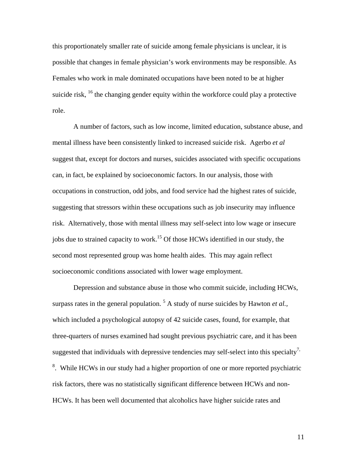this proportionately smaller rate of suicide among female physicians is unclear, it is possible that changes in female physician's work environments may be responsible. As Females who work in male dominated occupations have been noted to be at higher suicide risk,  $^{16}$  the changing gender equity within the workforce could play a protective role.

A number of factors, such as low income, limited education, substance abuse, and mental illness have been consistently linked to increased suicide risk. Agerbo *et al* suggest that, except for doctors and nurses, suicides associated with specific occupations can, in fact, be explained by socioeconomic factors. In our analysis, those with occupations in construction, odd jobs, and food service had the highest rates of suicide, suggesting that stressors within these occupations such as job insecurity may influence risk. Alternatively, those with mental illness may self-select into low wage or insecure jobs due to strained capacity to work.<sup>15</sup> Of those HCWs identified in our study, the second most represented group was home health aides. This may again reflect socioeconomic conditions associated with lower wage employment.

Depression and substance abuse in those who commit suicide, including HCWs, surpass rates in the general population.<sup>5</sup> A study of nurse suicides by Hawton *et al.*, which included a psychological autopsy of 42 suicide cases, found, for example, that three-quarters of nurses examined had sought previous psychiatric care, and it has been suggested that individuals with depressive tendencies may self-select into this specialty<sup>7,</sup> <sup>8</sup>. While HCWs in our study had a higher proportion of one or more reported psychiatric risk factors, there was no statistically significant difference between HCWs and non-HCWs. It has been well documented that alcoholics have higher suicide rates and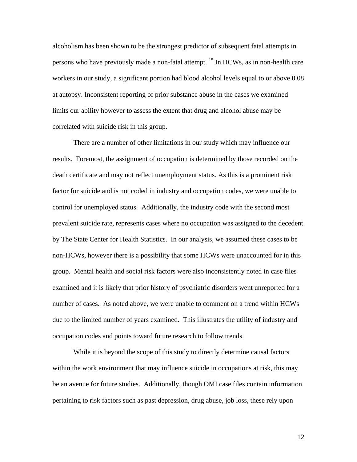alcoholism has been shown to be the strongest predictor of subsequent fatal attempts in persons who have previously made a non-fatal attempt. <sup>15</sup> In HCWs, as in non-health care workers in our study, a significant portion had blood alcohol levels equal to or above 0.08 at autopsy. Inconsistent reporting of prior substance abuse in the cases we examined limits our ability however to assess the extent that drug and alcohol abuse may be correlated with suicide risk in this group.

There are a number of other limitations in our study which may influence our results. Foremost, the assignment of occupation is determined by those recorded on the death certificate and may not reflect unemployment status. As this is a prominent risk factor for suicide and is not coded in industry and occupation codes, we were unable to control for unemployed status. Additionally, the industry code with the second most prevalent suicide rate, represents cases where no occupation was assigned to the decedent by The State Center for Health Statistics. In our analysis, we assumed these cases to be non-HCWs, however there is a possibility that some HCWs were unaccounted for in this group. Mental health and social risk factors were also inconsistently noted in case files examined and it is likely that prior history of psychiatric disorders went unreported for a number of cases. As noted above, we were unable to comment on a trend within HCWs due to the limited number of years examined. This illustrates the utility of industry and occupation codes and points toward future research to follow trends.

While it is beyond the scope of this study to directly determine causal factors within the work environment that may influence suicide in occupations at risk, this may be an avenue for future studies. Additionally, though OMI case files contain information pertaining to risk factors such as past depression, drug abuse, job loss, these rely upon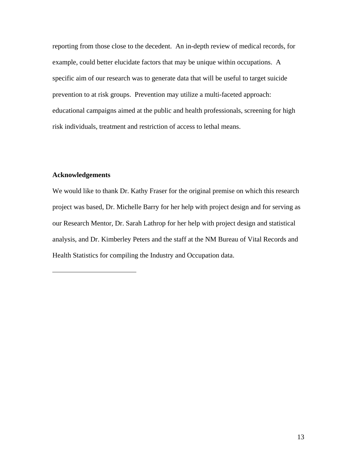reporting from those close to the decedent. An in-depth review of medical records, for example, could better elucidate factors that may be unique within occupations. A specific aim of our research was to generate data that will be useful to target suicide prevention to at risk groups. Prevention may utilize a multi-faceted approach: educational campaigns aimed at the public and health professionals, screening for high risk individuals, treatment and restriction of access to lethal means.

### **Acknowledgements**

 $\overline{a}$ 

We would like to thank Dr. Kathy Fraser for the original premise on which this research project was based, Dr. Michelle Barry for her help with project design and for serving as our Research Mentor, Dr. Sarah Lathrop for her help with project design and statistical analysis, and Dr. Kimberley Peters and the staff at the NM Bureau of Vital Records and Health Statistics for compiling the Industry and Occupation data.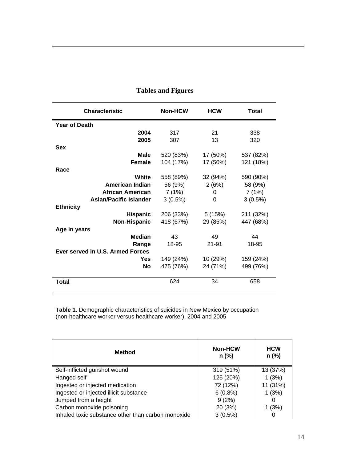| <b>Characteristic</b>            | <b>Non-HCW</b> | <b>HCW</b> | Total     |
|----------------------------------|----------------|------------|-----------|
| <b>Year of Death</b>             |                |            |           |
| 2004                             | 317            | 21         | 338       |
| 2005                             | 307            | 13         | 320       |
| <b>Sex</b>                       |                |            |           |
| <b>Male</b>                      | 520 (83%)      | 17 (50%)   | 537 (82%) |
| <b>Female</b>                    | 104 (17%)      | 17 (50%)   | 121 (18%) |
| Race                             |                |            |           |
| White                            | 558 (89%)      | 32 (94%)   | 590 (90%) |
| <b>American Indian</b>           | 56 (9%)        | 2(6%)      | 58 (9%)   |
| African American                 | 7(1%)          | 0          | 7(1%)     |
| <b>Asian/Pacific Islander</b>    | 3(0.5%)        | 0          | 3(0.5%)   |
| <b>Ethnicity</b>                 |                |            |           |
| <b>Hispanic</b>                  | 206 (33%)      | 5(15%)     | 211 (32%) |
| Non-Hispanic                     | 418 (67%)      | 29 (85%)   | 447 (68%) |
| Age in years                     |                |            |           |
| <b>Median</b>                    | 43             | 49         | 44        |
| Range                            | 18-95          | 21-91      | 18-95     |
| Ever served in U.S. Armed Forces |                |            |           |
| Yes                              | 149 (24%)      | 10 (29%)   | 159 (24%) |
| <b>No</b>                        | 475 (76%)      | 24 (71%)   | 499 (76%) |
| <b>Total</b>                     | 624            | 34         | 658       |

# **Tables and Figures**

 $\overline{a}$ 

**Table 1.** Demographic characteristics of suicides in New Mexico by occupation (non-healthcare worker versus healthcare worker), 2004 and 2005

| <b>Method</b>                                      | <b>Non-HCW</b><br>n (%) | <b>HCW</b><br>$n$ (%) |
|----------------------------------------------------|-------------------------|-----------------------|
| Self-inflicted gunshot wound                       | 319 (51%)               | 13 (37%)              |
| Hanged self                                        | 125 (20%)               | 1(3%)                 |
| Ingested or injected medication                    | 72 (12%)                | 11 (31%)              |
| Ingested or injected illicit substance             | 6(0.8%)                 | 1(3%)                 |
| Jumped from a height                               | 9(2%)                   |                       |
| Carbon monoxide poisoning                          | 20 (3%)                 | 1(3%)                 |
| Inhaled toxic substance other than carbon monoxide | $3(0.5\%)$              |                       |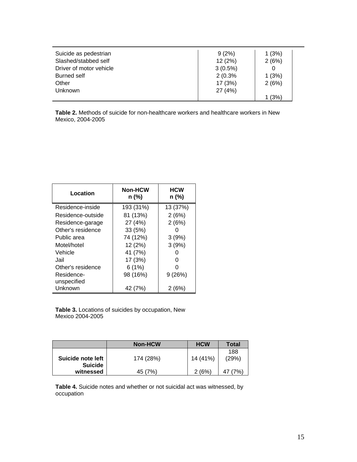| Suicide as pedestrian   | 9(2%)      | 1(3%)  |  |
|-------------------------|------------|--------|--|
| Slashed/stabbed self    | 12(2%)     | 2(6%)  |  |
| Driver of motor vehicle | $3(0.5\%)$ |        |  |
| <b>Burned self</b>      | 2(0.3%     | 1(3%)  |  |
| Other                   | 17 (3%)    | 2(6%)  |  |
| Unknown                 | 27 (4%)    |        |  |
|                         |            | 1 (3%) |  |

**Table 2.** Methods of suicide for non-healthcare workers and healthcare workers in New Mexico, 2004-2005

| Location          | <b>Non-HCW</b><br>n (%) | <b>HCW</b><br>n (%) |
|-------------------|-------------------------|---------------------|
| Residence-inside  | 193 (31%)               | 13 (37%)            |
| Residence-outside | 81 (13%)                | 2(6%)               |
| Residence-garage  | 27 (4%)                 | 2(6%)               |
| Other's residence | 33 (5%)                 |                     |
| Public area       | 74 (12%)                | 3(9%)               |
| Motel/hotel       | 12 (2%)                 | 3(9%)               |
| Vehicle           | 41 (7%)                 |                     |
| Jail              | 17 (3%)                 | 0                   |
| Other's residence | 6(1%)                   |                     |
| Residence-        | 98 (16%)                | 9(26%)              |
| unspecified       |                         |                     |
| Unknown           | 42 (7%)                 | 2 (6%)              |

**Table 3.** Locations of suicides by occupation, New Mexico 2004-2005

|                                     | <b>Non-HCW</b> | <b>HCW</b> | Total        |
|-------------------------------------|----------------|------------|--------------|
| Suicide note left<br><b>Suicide</b> | 174 (28%)      | 14 (41%)   | 188<br>(29%) |
| witnessed                           | 45 (7%)        | 2(6%)      | (7%)         |

**Table 4.** Suicide notes and whether or not suicidal act was witnessed, by occupation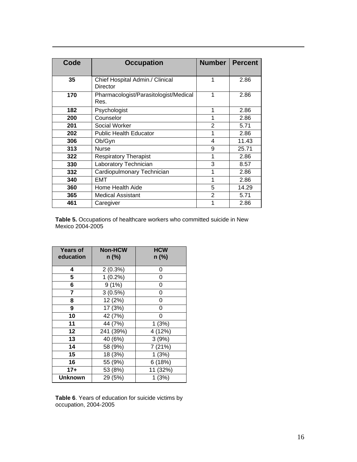| Code | <b>Occupation</b>                             | <b>Number</b>  | <b>Percent</b> |
|------|-----------------------------------------------|----------------|----------------|
| 35   | Chief Hospital Admin./ Clinical<br>Director   |                | 2.86           |
| 170  | Pharmacologist/Parasitologist/Medical<br>Res. | 1              | 2.86           |
| 182  | Psychologist                                  | 1              | 2.86           |
| 200  | Counselor                                     | 1              | 2.86           |
| 201  | <b>Social Worker</b>                          | $\overline{2}$ | 5.71           |
| 202  | <b>Public Health Educator</b>                 |                | 2.86           |
| 306  | Ob/Gyn                                        | 4              | 11.43          |
| 313  | Nurse                                         | 9              | 25.71          |
| 322  | <b>Respiratory Therapist</b>                  | 1              | 2.86           |
| 330  | Laboratory Technician                         | 3              | 8.57           |
| 332  | Cardiopulmonary Technician                    | 1              | 2.86           |
| 340  | EMT                                           | 1              | 2.86           |
| 360  | Home Health Aide                              | 5              | 14.29          |
| 365  | Medical Assistant                             | 2              | 5.71           |
| 461  | Caregiver                                     |                | 2.86           |

**Table 5.** Occupations of healthcare workers who committed suicide in New Mexico 2004-2005

| <b>Years of</b><br>education | <b>Non-HCW</b><br>$n$ (%) | <b>HCW</b><br>n (%) |
|------------------------------|---------------------------|---------------------|
| 4                            | 2(0.3%)                   | 0                   |
| 5                            | $1(0.2\%)$                | 0                   |
| 6                            | 9(1%)                     | 0                   |
| 7                            | $3(0.5\%)$                | 0                   |
| 8                            | 12 (2%)                   | 0                   |
| 9                            | 17 (3%)                   | 0                   |
| 10                           | 42 (7%)                   | 0                   |
| 11                           | 44 (7%)                   | 1(3%)               |
| 12                           | 241 (39%)                 | 4 (12%)             |
| 13                           | 40 (6%)                   | 3(9%)               |
| 14                           | 58 (9%)                   | 7(21%)              |
| 15                           | 18 (3%)                   | 1(3%)               |
| 16                           | 55 (9%)                   | 6(18%)              |
| $17+$                        | 53 (8%)                   | 11 (32%)            |
| <b>Unknown</b>               | 29 (5%)                   | 1(3%)               |

 $\overline{a}$ 

**Table 6**. Years of education for suicide victims by occupation, 2004-2005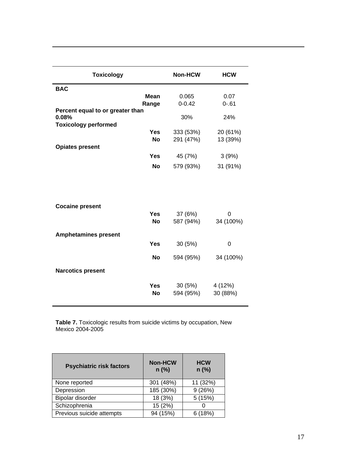| <b>Toxicology</b>                         | Non-HCW    | <b>HCW</b> |
|-------------------------------------------|------------|------------|
| <b>BAC</b>                                |            |            |
| <b>Mean</b>                               | 0.065      | 0.07       |
| Range                                     | $0 - 0.42$ | $0 - 61$   |
| Percent equal to or greater than<br>0.08% | 30%        | 24%        |
| <b>Toxicology performed</b>               |            |            |
| <b>Yes</b>                                | 333 (53%)  | 20 (61%)   |
| <b>No</b>                                 | 291 (47%)  | 13 (39%)   |
| <b>Opiates present</b>                    |            |            |
| <b>Yes</b>                                | 45 (7%)    | 3(9%)      |
| <b>No</b>                                 | 579 (93%)  | 31 (91%)   |
| <b>Cocaine present</b>                    |            |            |
| <b>Yes</b>                                | 37 (6%)    | $\Omega$   |
| <b>No</b>                                 | 587 (94%)  | 34 (100%)  |
| <b>Amphetamines present</b>               |            |            |
| <b>Yes</b>                                | 30 (5%)    | 0          |
| <b>No</b>                                 | 594 (95%)  | 34 (100%)  |
| <b>Narcotics present</b>                  |            |            |
| <b>Yes</b>                                | 30 (5%)    | 4 (12%)    |
| <b>No</b>                                 | 594 (95%)  | 30 (88%)   |

 $\overline{a}$ 

**Table 7.** Toxicologic results from suicide victims by occupation, New Mexico 2004-2005

| <b>Psychiatric risk factors</b> | <b>Non-HCW</b><br>$n$ (%) | <b>HCW</b><br>$n$ (%) |
|---------------------------------|---------------------------|-----------------------|
| None reported                   | 301 (48%)                 | 11 (32%)              |
| Depression                      | 185 (30%)                 | 9(26%)                |
| Bipolar disorder                | 18 (3%)                   | 5(15%)                |
| Schizophrenia                   | 15 (2%)                   |                       |
| Previous suicide attempts       | 94 (15%)                  | 6(18%)                |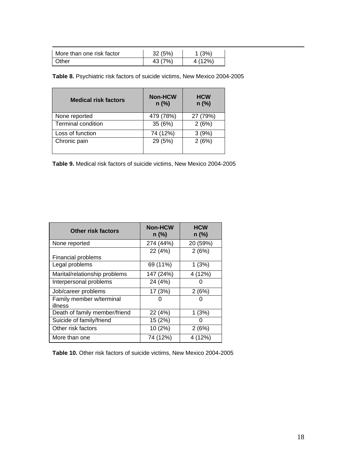| More than one risk factor | 32(5%)  | 1(3%)   |
|---------------------------|---------|---------|
| <b>Other</b>              | 43 (7%) | 4 (12%) |

**Table 8.** Psychiatric risk factors of suicide victims, New Mexico 2004-2005

| <b>Medical risk factors</b> | <b>Non-HCW</b><br>$n$ (%) | <b>HCW</b><br>$n$ (%) |
|-----------------------------|---------------------------|-----------------------|
| None reported               | 479 (78%)                 | 27 (79%)              |
| <b>Terminal condition</b>   | 35 (6%)                   | 2(6%)                 |
| Loss of function            | 74 (12%)                  | 3(9%)                 |
| Chronic pain                | 29 (5%)                   | 2(6%)                 |

**Table 9.** Medical risk factors of suicide victims, New Mexico 2004-2005

| <b>Other risk factors</b>           | <b>Non-HCW</b><br>$n$ (%) | <b>HCW</b><br>$n$ (%) |
|-------------------------------------|---------------------------|-----------------------|
| None reported                       | 274 (44%)                 | 20 (59%)              |
| <b>Financial problems</b>           | 22 (4%)                   | 2(6%)                 |
| Legal problems                      | 69 (11%)                  | 1(3%)                 |
| Marital/relationship problems       | 147 (24%)                 | 4 (12%)               |
| Interpersonal problems              | 24 (4%)                   |                       |
| Job/career problems                 | 17 (3%)                   | 2(6%)                 |
| Family member w/terminal<br>illness |                           |                       |
| Death of family member/friend       | 22 (4%)                   | 1(3%)                 |
| Suicide of family/friend            | 15 (2%)                   |                       |
| Other risk factors                  | 10 (2%)                   | 2(6%)                 |
| More than one                       | 74 (12%)                  | 4 (12%)               |

**Table 10.** Other risk factors of suicide victims, New Mexico 2004-2005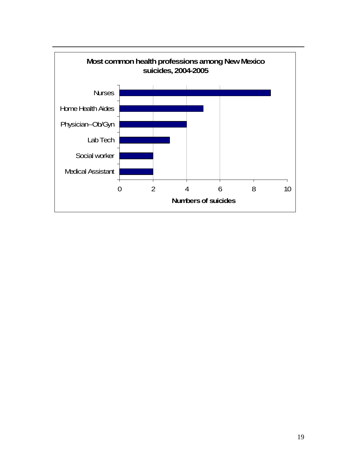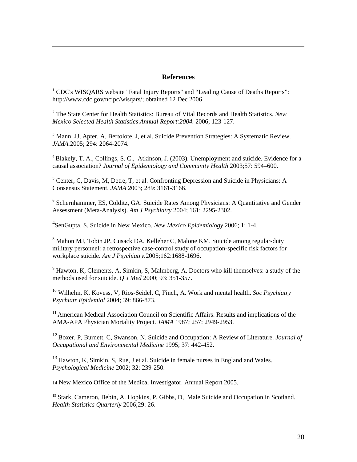### **References**

<sup>1</sup> CDC's WISQARS website "Fatal Injury Reports" and "Leading Cause of Deaths Reports": http://www.cdc.gov/ncipc/wisqars/; obtained 12 Dec 2006

 $\overline{a}$ 

2 The State Center for Health Statistics: Bureau of Vital Records and Health Statistics. *New Mexico Selected Health Statistics Annual Report:2004.* 2006; 123-127.

<sup>3</sup> Mann, JJ, Apter, A, Bertolote, J, et al. Suicide Prevention Strategies: A Systematic Review. *JAMA.*2005; 294: 2064-2074.

<sup>4</sup> Blakely, T. A., Collings, S. C., Atkinson, J. (2003). Unemployment and suicide. Evidence for a causal association? *Journal of Epidemiology and Community Health* 2003;57: 594–600.

<sup>5</sup> Center, C, Davis, M, Detre, T, et al. Confronting Depression and Suicide in Physicians: A Consensus Statement. *JAMA* 2003; 289: 3161-3166.

<sup>6</sup> Schernhammer, ES, Colditz, GA. Suicide Rates Among Physicians: A Quantitative and Gender Assessment (Meta-Analysis). *Am J Psychiatry* 2004; 161: 2295-2302.

4 SenGupta, S. Suicide in New Mexico. *New Mexico Epidemiology* 2006; 1: 1-4.

<sup>8</sup> Mahon MJ, Tobin JP, Cusack DA, Kelleher C, Malone KM. Suicide among regular-duty military personnel: a retrospective case-control study of occupation-specific risk factors for workplace suicide. *Am J Psychiatry.*2005;162:1688-1696.

 $9$  Hawton, K, Clements, A, Simkin, S, Malmberg, A. Doctors who kill themselves: a study of the methods used for suicide. *Q J Med* 2000; 93: 351-357.

10 Wilhelm, K, Kovess, V, Rios-Seidel, C, Finch, A. Work and mental health. *Soc Psychiatry Psychiatr Epidemiol* 2004; 39: 866-873.

<sup>11</sup> American Medical Association Council on Scientific Affairs. Results and implications of the AMA-APA Physician Mortality Project. *JAMA* 1987; 257: 2949-2953.

12 Boxer, P, Burnett, C, Swanson, N. Suicide and Occupation: A Review of Literature. *Journal of Occupational and Environmental Medicine* 1995; 37: 442-452.

 $13$  Hawton, K, Simkin, S, Rue, J et al. Suicide in female nurses in England and Wales. *Psychological Medicine* 2002; 32: 239-250.

14 New Mexico Office of the Medical Investigator. Annual Report 2005.

<sup>15</sup> Stark, Cameron, Bebin, A. Hopkins, P. Gibbs, D. Male Suicide and Occupation in Scotland. *Health Statistics Quarterly* 2006;29: 26.